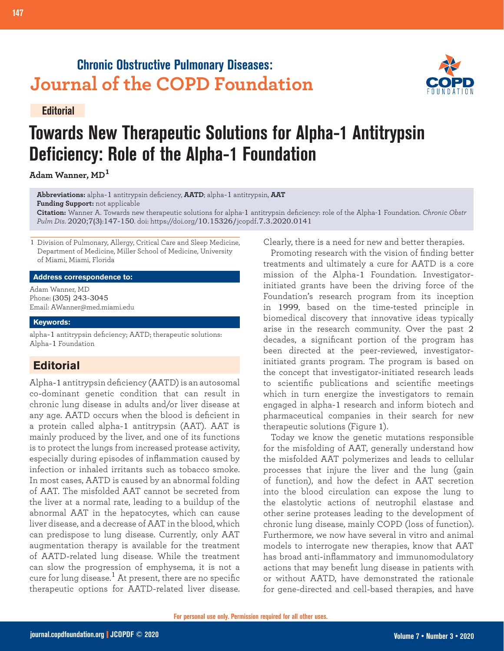## **Chronic Obstructive Pulmonary Diseases: Journal of the COPD Foundation**

#### **Editorial**



# **Towards New Therapeutic Solutions for Alpha-1 Antitrypsin Deficiency: Role of the Alpha-1 Foundation**

**Adam Wanner, MD<sup>1</sup>**

**Abbreviations:** alpha-1 antitrypsin deficiency, **AATD**; alpha-1 antitrypsin, **AAT Funding Support:** not applicable

**Citation:** Wanner A. Towards new therapeutic solutions for alpha-1 antitrypsin deficiency: role of the Alpha-1 Foundation. *Chronic Obstr Pulm Dis*. 2020;7(3):147-150. doi: https://doi.org/10.15326/jcopdf.7.3.2020.0141

1 Division of Pulmonary, Allergy, Critical Care and Sleep Medicine, Department of Medicine, Miller School of Medicine, University of Miami, Miami, Florida

#### **Address correspondence to:**

Adam Wanner, MD Phone: (305) 243-3045 Email: AWanner@med.miami.edu

#### **Keywords:**

alpha-1 antitrypsin deficiency; AATD; therapeutic solutions: Alpha-1 Foundation

## **Editorial**

Alpha-1 antitrypsin deficiency (AATD) is an autosomal co-dominant genetic condition that can result in chronic lung disease in adults and/or liver disease at any age. AATD occurs when the blood is deficient in a protein called alpha-1 antitrypsin (AAT). AAT is mainly produced by the liver, and one of its functions is to protect the lungs from increased protease activity, especially during episodes of inflammation caused by infection or inhaled irritants such as tobacco smoke. In most cases, AATD is caused by an abnormal folding of AAT. The misfolded AAT cannot be secreted from the liver at a normal rate, leading to a buildup of the abnormal AAT in the hepatocytes, which can cause liver disease, and a decrease of AAT in the blood, which can predispose to lung disease. Currently, only AAT augmentation therapy is available for the treatment of AATD-related lung disease. While the treatment can slow the progression of emphysema, it is not a cure for lung disease.<sup>1</sup> At present, there are no specific therapeutic options for AATD-related liver disease. Clearly, there is a need for new and better therapies.

Promoting research with the vision of finding better treatments and ultimately a cure for AATD is a core mission of the Alpha-1 Foundation. Investigatorinitiated grants have been the driving force of the Foundation's research program from its inception in 1999, based on the time-tested principle in biomedical discovery that innovative ideas typically arise in the research community. Over the past 2 decades, a significant portion of the program has been directed at the peer-reviewed, investigatorinitiated grants program. The program is based on the concept that investigator-initiated research leads to scientific publications and scientific meetings which in turn energize the investigators to remain engaged in alpha-1 research and inform biotech and pharmaceutical companies in their search for new therapeutic solutions (Figure 1).

Today we know the genetic mutations responsible for the misfolding of AAT, generally understand how the misfolded AAT polymerizes and leads to cellular processes that injure the liver and the lung (gain of function), and how the defect in AAT secretion into the blood circulation can expose the lung to the elastolytic actions of neutrophil elastase and other serine proteases leading to the development of chronic lung disease, mainly COPD (loss of function). Furthermore, we now have several in vitro and animal models to interrogate new therapies, know that AAT has broad anti-inflammatory and immunomodulatory actions that may benefit lung disease in patients with or without AATD, have demonstrated the rationale for gene-directed and cell-based therapies, and have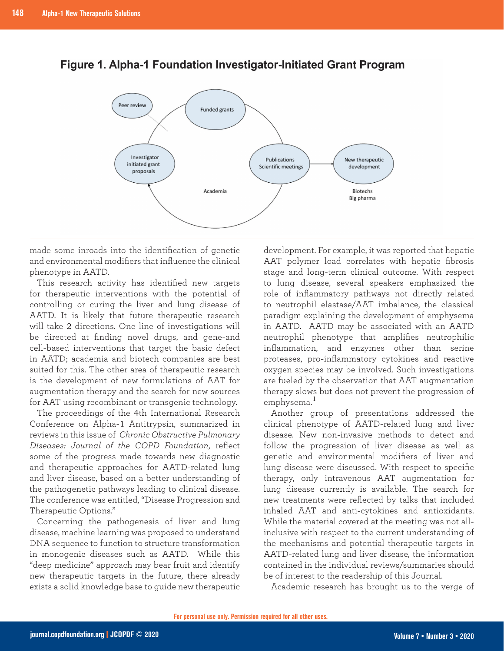



made some inroads into the identification of genetic and environmental modifiers that influence the clinical phenotype in AATD.

This research activity has identified new targets for therapeutic interventions with the potential of controlling or curing the liver and lung disease of AATD. It is likely that future therapeutic research will take 2 directions. One line of investigations will be directed at finding novel drugs, and gene-and cell-based interventions that target the basic defect in AATD; academia and biotech companies are best suited for this. The other area of therapeutic research is the development of new formulations of AAT for augmentation therapy and the search for new sources for AAT using recombinant or transgenic technology.

The proceedings of the 4th International Research Conference on Alpha-1 Antitrypsin, summarized in reviews in this issue of *Chronic Obstructive Pulmonary Diseases: Journal of the COPD Foundation*, reflect some of the progress made towards new diagnostic and therapeutic approaches for AATD-related lung and liver disease, based on a better understanding of the pathogenetic pathways leading to clinical disease. The conference was entitled, "Disease Progression and Therapeutic Options."

Concerning the pathogenesis of liver and lung disease, machine learning was proposed to understand DNA sequence to function to structure transformation in monogenic diseases such as AATD. While this "deep medicine" approach may bear fruit and identify new therapeutic targets in the future, there already exists a solid knowledge base to guide new therapeutic

development. For example, it was reported that hepatic AAT polymer load correlates with hepatic fibrosis stage and long-term clinical outcome. With respect to lung disease, several speakers emphasized the role of inflammatory pathways not directly related to neutrophil elastase/AAT imbalance, the classical paradigm explaining the development of emphysema in AATD. AATD may be associated with an AATD neutrophil phenotype that amplifies neutrophilic inflammation, and enzymes other than serine proteases, pro-inflammatory cytokines and reactive oxygen species may be involved. Such investigations are fueled by the observation that AAT augmentation therapy slows but does not prevent the progression of emphysema.<sup>1</sup>

Another group of presentations addressed the clinical phenotype of AATD-related lung and liver disease. New non-invasive methods to detect and follow the progression of liver disease as well as genetic and environmental modifiers of liver and lung disease were discussed. With respect to specific therapy, only intravenous AAT augmentation for lung disease currently is available. The search for new treatments were reflected by talks that included inhaled AAT and anti-cytokines and antioxidants. While the material covered at the meeting was not allinclusive with respect to the current understanding of the mechanisms and potential therapeutic targets in AATD-related lung and liver disease, the information contained in the individual reviews/summaries should be of interest to the readership of this Journal.

Academic research has brought us to the verge of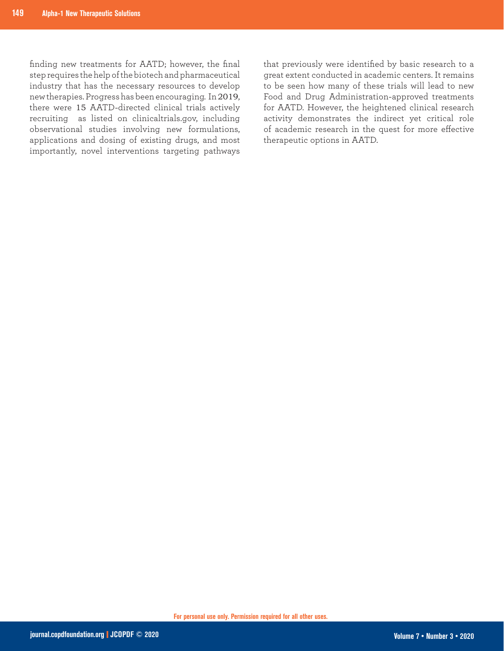finding new treatments for AATD; however, the final step requires the help of the biotech and pharmaceutical industry that has the necessary resources to develop new therapies. Progress has been encouraging. In 2019, there were 15 AATD-directed clinical trials actively recruiting as listed on clinicaltrials.gov, including observational studies involving new formulations, applications and dosing of existing drugs, and most importantly, novel interventions targeting pathways

that previously were identified by basic research to a great extent conducted in academic centers. It remains to be seen how many of these trials will lead to new Food and Drug Administration-approved treatments for AATD. However, the heightened clinical research activity demonstrates the indirect yet critical role of academic research in the quest for more effective therapeutic options in AATD.